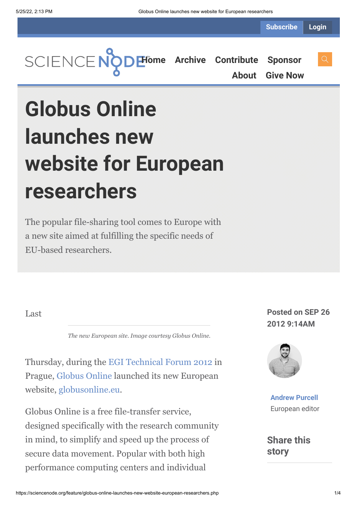**Subscribe Login**



**[About](https://sciencenode.org/about/index.php) [Give Now](https://sciencenode.org/donate/index.php)**

# **Globus Online launches new website for European researchers**

The popular file-sharing tool comes to Europe with a new site aimed at fulfilling the specific needs of EU-based researchers.

Last

*The new European site. Image courtesy Globus Online.*

Thursday, during the [EGI Technical Forum 2012](http://www.tf2012.egi.eu/) in Prague, [Globus Online](https://www.globusonline.org/) launched its new European website, [globusonline.eu.](https://www.globusonline.eu/)

Globus Online is a free file-transfer service, designed specifically with the research community in mind, to simplify and speed up the process of secure data movement. Popular with both high performance computing centers and individual

**Posted on SEP 26 2012 9:14AM**



**[Andrew Purcell](https://sciencenode.org/author/andrew-purcell.php)** European editor

**Share this story**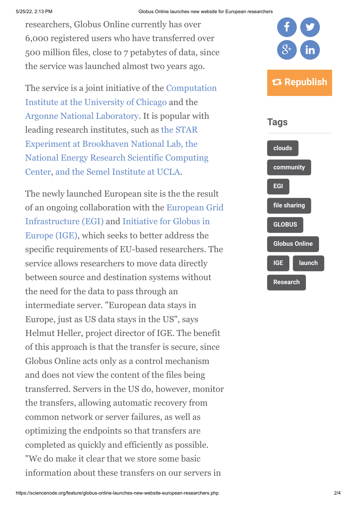researchers, Globus Online currently has over 6,000 registered users who have transferred over 500 million files, close to 7 petabytes of data, since the service was launched almost two years ago.

[The service is a joint initiative of the Computation](http://www.ci.uchicago.edu/) Institute at the University of Chicago and the [Argonne National Laboratory](http://www.anl.gov/). It is popular with [leading research institutes, such as the STAR](http://www.star.bnl.gov/) Experiment at Brookhaven National Lab, the [National Energy Research Scientific Computing](http://www.nersc.gov/) Center, [and the Semel Institute at UCLA](http://www.semel.ucla.edu/).

The newly launched European site is the the result [of an ongoing collaboration with the European Grid](http://www.egi.eu/) [Infrastructure \(EGI\) and Initiative for Globus in](http://www.ige-project.eu/) Europe (IGE), which seeks to better address the specific requirements of EU-based researchers. The service allows researchers to move data directly between source and destination systems without the need for the data to pass through an intermediate server. "European data stays in Europe, just as US data stays in the US", says Helmut Heller, project director of IGE. The benefit of this approach is that the transfer is secure, since Globus Online acts only as a control mechanism and does not view the content of the files being transferred. Servers in the US do, however, monitor the transfers, allowing automatic recovery from common network or server failures, as well as optimizing the endpoints so that transfers are completed as quickly and efficiently as possible. "We do make it clear that we store some basic information about these transfers on our servers in

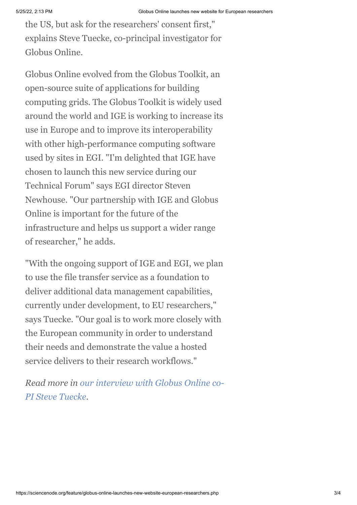the US, but ask for the researchers' consent first," explains Steve Tuecke, co-principal investigator for Globus Online.

Globus Online evolved from the Globus Toolkit, an open-source suite of applications for building computing grids. The Globus Toolkit is widely used around the world and IGE is working to increase its use in Europe and to improve its interoperability with other high-performance computing software used by sites in EGI. "I'm delighted that IGE have chosen to launch this new service during our Technical Forum" says EGI director Steven Newhouse. "Our partnership with IGE and Globus Online is important for the future of the infrastructure and helps us support a wider range of researcher," he adds.

"With the ongoing support of IGE and EGI, we plan to use the file transfer service as a foundation to deliver additional data management capabilities, currently under development, to EU researchers," says Tuecke. "Our goal is to work more closely with the European community in order to understand their needs and demonstrate the value a hosted service delivers to their research workflows."

*[Read more in our interview with Globus Online co-](http://www.isgtw.org/feature/q-steve-tuecke-speaks-globus-online)PI Steve Tuecke*.